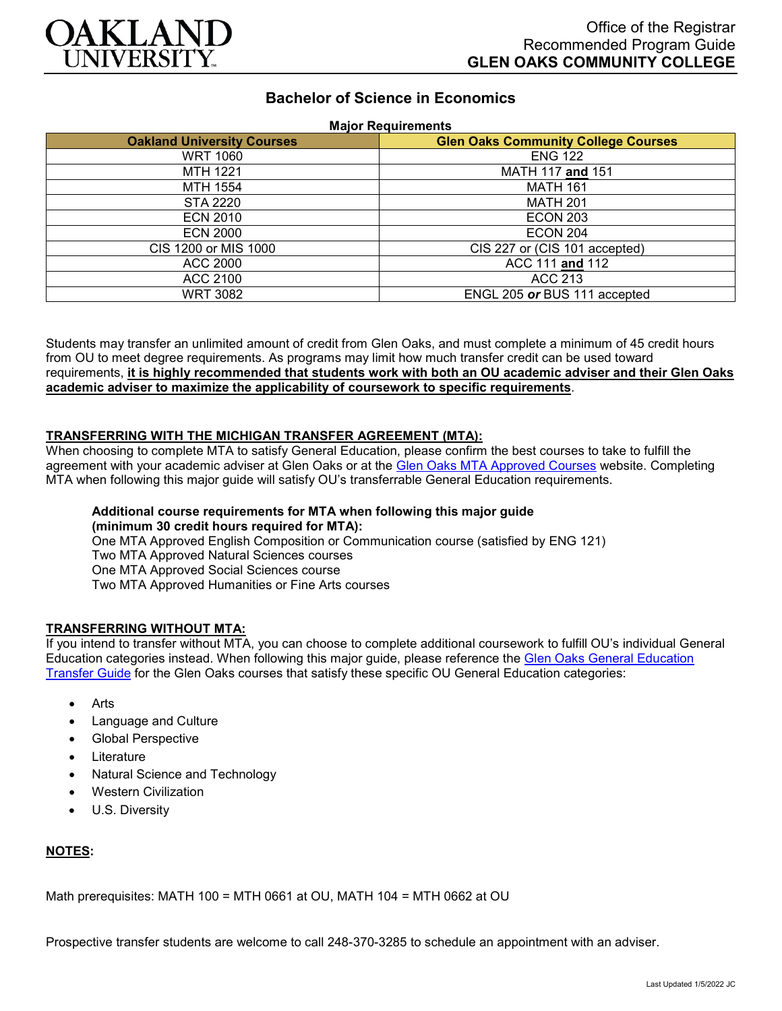

# **Bachelor of Science in Economics**

#### **Major Requirements**

| <b>Oakland University Courses</b> | <b>Glen Oaks Community College Courses</b> |
|-----------------------------------|--------------------------------------------|
| <b>WRT 1060</b>                   | <b>ENG 122</b>                             |
| <b>MTH 1221</b>                   | MATH 117 and 151                           |
| MTH 1554                          | <b>MATH 161</b>                            |
| STA 2220                          | <b>MATH 201</b>                            |
| <b>ECN 2010</b>                   | <b>ECON 203</b>                            |
| <b>ECN 2000</b>                   | <b>ECON 204</b>                            |
| CIS 1200 or MIS 1000              | CIS 227 or (CIS 101 accepted)              |
| ACC 2000                          | ACC 111 and 112                            |
| ACC 2100                          | <b>ACC 213</b>                             |
| WRT 3082                          | ENGL 205 or BUS 111 accepted               |

Students may transfer an unlimited amount of credit from Glen Oaks, and must complete a minimum of 45 credit hours from OU to meet degree requirements. As programs may limit how much transfer credit can be used toward requirements, **it is highly recommended that students work with both an OU academic adviser and their Glen Oaks academic adviser to maximize the applicability of coursework to specific requirements**.

#### **TRANSFERRING WITH THE MICHIGAN TRANSFER AGREEMENT (MTA):**

When choosing to complete MTA to satisfy General Education, please confirm the best courses to take to fulfill the agreement with your academic adviser at Glen Oaks or at the [Glen Oaks MTA Approved Courses](https://www.glenoaks.edu/current-students/registration-records/#MTA) website. Completing MTA when following this major guide will satisfy OU's transferrable General Education requirements.

## **Additional course requirements for MTA when following this major guide (minimum 30 credit hours required for MTA):**

One MTA Approved English Composition or Communication course (satisfied by ENG 121) Two MTA Approved Natural Sciences courses One MTA Approved Social Sciences course Two MTA Approved Humanities or Fine Arts courses

## **TRANSFERRING WITHOUT MTA:**

If you intend to transfer without MTA, you can choose to complete additional coursework to fulfill OU's individual General Education categories instead. When following this major guide, please reference the Glen Oaks General Education [Transfer Guide](https://www.oakland.edu/Assets/Oakland/program-guides/glen-oaks-community-college/university-general-education-requirements/Glen%20Oaks%20Gen%20Ed.pdf) for the Glen Oaks courses that satisfy these specific OU General Education categories:

- **Arts**
- Language and Culture
- Global Perspective
- **Literature**
- Natural Science and Technology
- Western Civilization
- U.S. Diversity

## **NOTES:**

Math prerequisites: MATH 100 = MTH 0661 at OU, MATH 104 = MTH 0662 at OU

Prospective transfer students are welcome to call 248-370-3285 to schedule an appointment with an adviser.